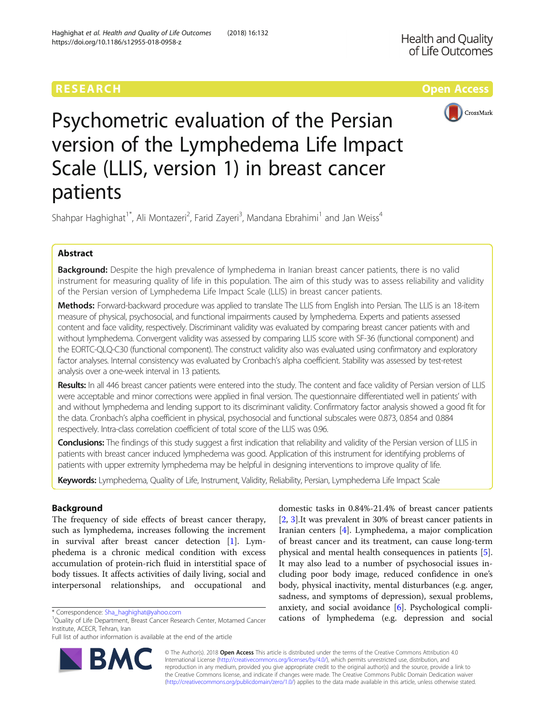# **RESEARCH CHINESE ARCH CHINESE ARCH CHINESE ARCH**



# Psychometric evaluation of the Persian version of the Lymphedema Life Impact Scale (LLIS, version 1) in breast cancer patients

Shahpar Haghighat<sup>1\*</sup>, Ali Montazeri<sup>2</sup>, Farid Zayeri<sup>3</sup>, Mandana Ebrahimi<sup>1</sup> and Jan Weiss<sup>4</sup>

# Abstract

**Background:** Despite the high prevalence of lymphedema in Iranian breast cancer patients, there is no valid instrument for measuring quality of life in this population. The aim of this study was to assess reliability and validity of the Persian version of Lymphedema Life Impact Scale (LLIS) in breast cancer patients.

Methods: Forward-backward procedure was applied to translate The LLIS from English into Persian. The LLIS is an 18-item measure of physical, psychosocial, and functional impairments caused by lymphedema. Experts and patients assessed content and face validity, respectively. Discriminant validity was evaluated by comparing breast cancer patients with and without lymphedema. Convergent validity was assessed by comparing LLIS score with SF-36 (functional component) and the EORTC-QLQ-C30 (functional component). The construct validity also was evaluated using confirmatory and exploratory factor analyses. Internal consistency was evaluated by Cronbach's alpha coefficient. Stability was assessed by test-retest analysis over a one-week interval in 13 patients.

Results: In all 446 breast cancer patients were entered into the study. The content and face validity of Persian version of LLIS were acceptable and minor corrections were applied in final version. The questionnaire differentiated well in patients' with and without lymphedema and lending support to its discriminant validity. Confirmatory factor analysis showed a good fit for the data. Cronbach's alpha coefficient in physical, psychosocial and functional subscales were 0.873, 0.854 and 0.884 respectively. Intra-class correlation coefficient of total score of the LLIS was 0.96.

Conclusions: The findings of this study suggest a first indication that reliability and validity of the Persian version of LLIS in patients with breast cancer induced lymphedema was good. Application of this instrument for identifying problems of patients with upper extremity lymphedema may be helpful in designing interventions to improve quality of life.

Keywords: Lymphedema, Quality of Life, Instrument, Validity, Reliability, Persian, Lymphedema Life Impact Scale

# Background

The frequency of side effects of breast cancer therapy, such as lymphedema, increases following the increment in survival after breast cancer detection [\[1](#page-6-0)]. Lymphedema is a chronic medical condition with excess accumulation of protein-rich fluid in interstitial space of body tissues. It affects activities of daily living, social and interpersonal relationships, and occupational and

Full list of author information is available at the end of the article



domestic tasks in 0.84%-21.4% of breast cancer patients [[2,](#page-6-0) [3\]](#page-7-0).It was prevalent in 30% of breast cancer patients in Iranian centers [[4\]](#page-7-0). Lymphedema, a major complication of breast cancer and its treatment, can cause long-term physical and mental health consequences in patients [\[5](#page-7-0)]. It may also lead to a number of psychosocial issues including poor body image, reduced confidence in one's body, physical inactivity, mental disturbances (e.g. anger, sadness, and symptoms of depression), sexual problems, anxiety, and social avoidance [[6\]](#page-7-0). Psychological compli-correspondence: [Sha\\_haghighat@yahoo.com](mailto:Sha_haghighat@yahoo.com) and social examples and social avoidance (e.g. depression and social \* 1<br>
<sup>1</sup>Quality of Life Department. Breast Cancer Research Center. Motamed Cancer **cations of lymphedema (e.g. de** 

> © The Author(s). 2018 Open Access This article is distributed under the terms of the Creative Commons Attribution 4.0 International License [\(http://creativecommons.org/licenses/by/4.0/](http://creativecommons.org/licenses/by/4.0/)), which permits unrestricted use, distribution, and reproduction in any medium, provided you give appropriate credit to the original author(s) and the source, provide a link to the Creative Commons license, and indicate if changes were made. The Creative Commons Public Domain Dedication waiver [\(http://creativecommons.org/publicdomain/zero/1.0/](http://creativecommons.org/publicdomain/zero/1.0/)) applies to the data made available in this article, unless otherwise stated.

<sup>&</sup>lt;sup>1</sup>Quality of Life Department, Breast Cancer Research Center, Motamed Cancer Institute, ACECR, Tehran, Iran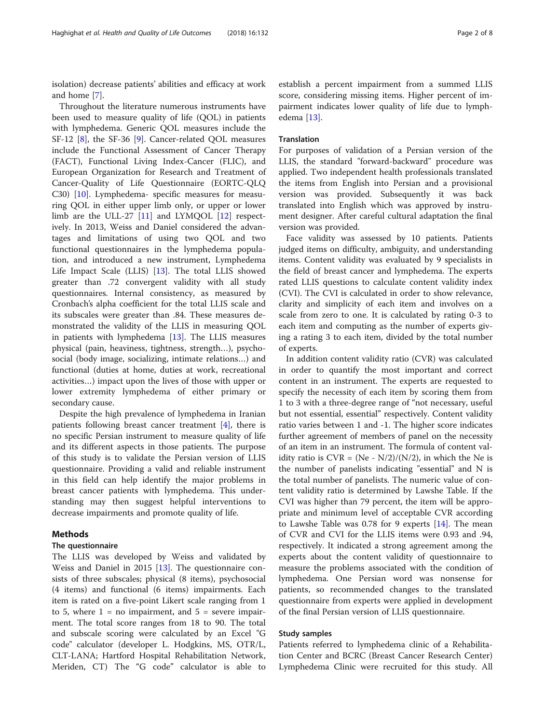isolation) decrease patients' abilities and efficacy at work and home [[7\]](#page-7-0).

Throughout the literature numerous instruments have been used to measure quality of life (QOL) in patients with lymphedema. Generic QOL measures include the SF-12 [\[8](#page-7-0)], the SF-36 [\[9](#page-7-0)]. Cancer-related QOL measures include the Functional Assessment of Cancer Therapy (FACT), Functional Living Index-Cancer (FLIC), and European Organization for Research and Treatment of Cancer-Quality of Life Questionnaire (EORTC-QLQ C30) [\[10\]](#page-7-0). Lymphedema- specific measures for measuring QOL in either upper limb only, or upper or lower limb are the ULL-27 [[11\]](#page-7-0) and LYMQOL [\[12](#page-7-0)] respectively. In 2013, Weiss and Daniel considered the advantages and limitations of using two QOL and two functional questionnaires in the lymphedema population, and introduced a new instrument, Lymphedema Life Impact Scale (LLIS) [[13](#page-7-0)]. The total LLIS showed greater than .72 convergent validity with all study questionnaires. Internal consistency, as measured by Cronbach's alpha coefficient for the total LLIS scale and its subscales were greater than .84. These measures demonstrated the validity of the LLIS in measuring QOL in patients with lymphedema [\[13](#page-7-0)]. The LLIS measures physical (pain, heaviness, tightness, strength…), psychosocial (body image, socializing, intimate relations…) and functional (duties at home, duties at work, recreational activities…) impact upon the lives of those with upper or lower extremity lymphedema of either primary or secondary cause.

Despite the high prevalence of lymphedema in Iranian patients following breast cancer treatment [[4\]](#page-7-0), there is no specific Persian instrument to measure quality of life and its different aspects in those patients. The purpose of this study is to validate the Persian version of LLIS questionnaire. Providing a valid and reliable instrument in this field can help identify the major problems in breast cancer patients with lymphedema. This understanding may then suggest helpful interventions to decrease impairments and promote quality of life.

# Methods

#### The questionnaire

The LLIS was developed by Weiss and validated by Weiss and Daniel in 2015 [\[13](#page-7-0)]. The questionnaire consists of three subscales; physical (8 items), psychosocial (4 items) and functional (6 items) impairments. Each item is rated on a five-point Likert scale ranging from 1 to 5, where  $1 = no$  impairment, and  $5 =$  severe impairment. The total score ranges from 18 to 90. The total and subscale scoring were calculated by an Excel "G code" calculator (developer L. Hodgkins, MS, OTR/L, CLT-LANA; Hartford Hospital Rehabilitation Network, Meriden, CT) The "G code" calculator is able to

establish a percent impairment from a summed LLIS score, considering missing items. Higher percent of impairment indicates lower quality of life due to lymphedema [\[13](#page-7-0)].

### Translation

For purposes of validation of a Persian version of the LLIS, the standard "forward-backward" procedure was applied. Two independent health professionals translated the items from English into Persian and a provisional version was provided. Subsequently it was back translated into English which was approved by instrument designer. After careful cultural adaptation the final version was provided.

Face validity was assessed by 10 patients. Patients judged items on difficulty, ambiguity, and understanding items. Content validity was evaluated by 9 specialists in the field of breast cancer and lymphedema. The experts rated LLIS questions to calculate content validity index (CVI). The CVI is calculated in order to show relevance, clarity and simplicity of each item and involves on a scale from zero to one. It is calculated by rating 0-3 to each item and computing as the number of experts giving a rating 3 to each item, divided by the total number of experts.

In addition content validity ratio (CVR) was calculated in order to quantify the most important and correct content in an instrument. The experts are requested to specify the necessity of each item by scoring them from 1 to 3 with a three-degree range of "not necessary, useful but not essential, essential" respectively. Content validity ratio varies between 1 and -1. The higher score indicates further agreement of members of panel on the necessity of an item in an instrument. The formula of content validity ratio is  $CVR = (Ne - N/2)/(N/2)$ , in which the Ne is the number of panelists indicating "essential" and N is the total number of panelists. The numeric value of content validity ratio is determined by Lawshe Table. If the CVI was higher than 79 percent, the item will be appropriate and minimum level of acceptable CVR according to Lawshe Table was 0.78 for 9 experts [\[14\]](#page-7-0). The mean of CVR and CVI for the LLIS items were 0.93 and .94, respectively. It indicated a strong agreement among the experts about the content validity of questionnaire to measure the problems associated with the condition of lymphedema. One Persian word was nonsense for patients, so recommended changes to the translated questionnaire from experts were applied in development of the final Persian version of LLIS questionnaire.

# Study samples

Patients referred to lymphedema clinic of a Rehabilitation Center and BCRC (Breast Cancer Research Center) Lymphedema Clinic were recruited for this study. All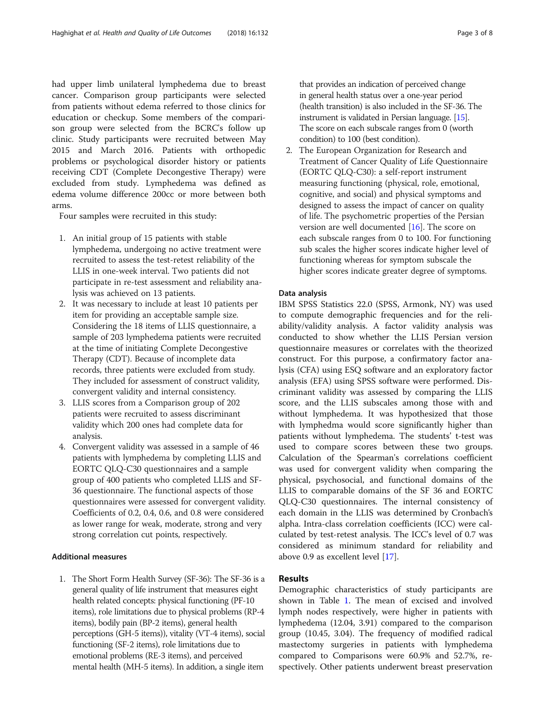had upper limb unilateral lymphedema due to breast cancer. Comparison group participants were selected from patients without edema referred to those clinics for education or checkup. Some members of the comparison group were selected from the BCRC's follow up clinic. Study participants were recruited between May 2015 and March 2016. Patients with orthopedic problems or psychological disorder history or patients receiving CDT (Complete Decongestive Therapy) were excluded from study. Lymphedema was defined as edema volume difference 200cc or more between both arms.

Four samples were recruited in this study:

- 1. An initial group of 15 patients with stable lymphedema, undergoing no active treatment were recruited to assess the test-retest reliability of the LLIS in one-week interval. Two patients did not participate in re-test assessment and reliability analysis was achieved on 13 patients.
- 2. It was necessary to include at least 10 patients per item for providing an acceptable sample size. Considering the 18 items of LLIS questionnaire, a sample of 203 lymphedema patients were recruited at the time of initiating Complete Decongestive Therapy (CDT). Because of incomplete data records, three patients were excluded from study. They included for assessment of construct validity, convergent validity and internal consistency.
- 3. LLIS scores from a Comparison group of 202 patients were recruited to assess discriminant validity which 200 ones had complete data for analysis.
- 4. Convergent validity was assessed in a sample of 46 patients with lymphedema by completing LLIS and EORTC QLQ-C30 questionnaires and a sample group of 400 patients who completed LLIS and SF-36 questionnaire. The functional aspects of those questionnaires were assessed for convergent validity. Coefficients of 0.2, 0.4, 0.6, and 0.8 were considered as lower range for weak, moderate, strong and very strong correlation cut points, respectively.

#### Additional measures

1. The Short Form Health Survey (SF-36): The SF-36 is a general quality of life instrument that measures eight health related concepts: physical functioning (PF-10 items), role limitations due to physical problems (RP-4 items), bodily pain (BP-2 items), general health perceptions (GH-5 items)), vitality (VT-4 items), social functioning (SF-2 items), role limitations due to emotional problems (RE-3 items), and perceived mental health (MH-5 items). In addition, a single item

that provides an indication of perceived change in general health status over a one-year period (health transition) is also included in the SF-36. The instrument is validated in Persian language. [\[15](#page-7-0)]. The score on each subscale ranges from 0 (worth condition) to 100 (best condition).

2. The European Organization for Research and Treatment of Cancer Quality of Life Questionnaire (EORTC QLQ-C30): a self-report instrument measuring functioning (physical, role, emotional, cognitive, and social) and physical symptoms and designed to assess the impact of cancer on quality of life. The psychometric properties of the Persian version are well documented  $[16]$  $[16]$  $[16]$ . The score on each subscale ranges from 0 to 100. For functioning sub scales the higher scores indicate higher level of functioning whereas for symptom subscale the higher scores indicate greater degree of symptoms.

## Data analysis

IBM SPSS Statistics 22.0 (SPSS, Armonk, NY) was used to compute demographic frequencies and for the reliability/validity analysis. A factor validity analysis was conducted to show whether the LLIS Persian version questionnaire measures or correlates with the theorized construct. For this purpose, a confirmatory factor analysis (CFA) using ESQ software and an exploratory factor analysis (EFA) using SPSS software were performed. Discriminant validity was assessed by comparing the LLIS score, and the LLIS subscales among those with and without lymphedema. It was hypothesized that those with lymphedma would score significantly higher than patients without lymphedema. The students' t-test was used to compare scores between these two groups. Calculation of the Spearman's correlations coefficient was used for convergent validity when comparing the physical, psychosocial, and functional domains of the LLIS to comparable domains of the SF 36 and EORTC QLQ-C30 questionnaires. The internal consistency of each domain in the LLIS was determined by Cronbach's alpha. Intra-class correlation coefficients (ICC) were calculated by test-retest analysis. The ICC's level of 0.7 was considered as minimum standard for reliability and above 0.9 as excellent level [[17\]](#page-7-0).

# Results

Demographic characteristics of study participants are shown in Table [1](#page-3-0). The mean of excised and involved lymph nodes respectively, were higher in patients with lymphedema (12.04, 3.91) compared to the comparison group (10.45, 3.04). The frequency of modified radical mastectomy surgeries in patients with lymphedema compared to Comparisons were 60.9% and 52.7%, respectively. Other patients underwent breast preservation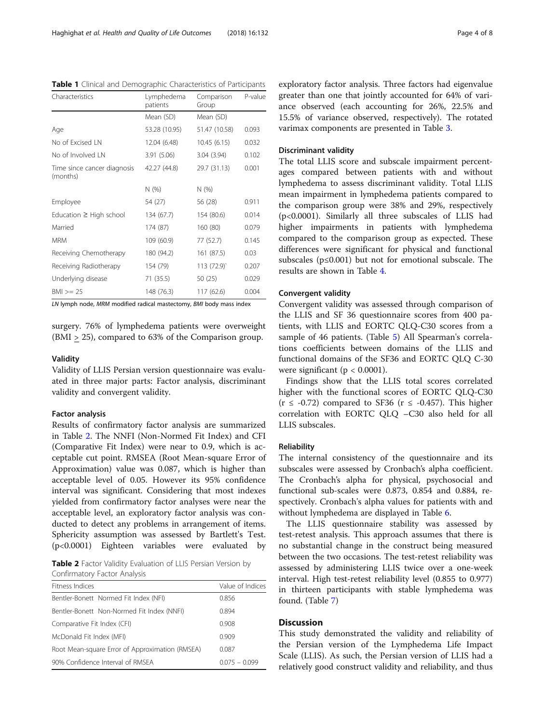<span id="page-3-0"></span>Table 1 Clinical and Demographic Characteristics of Participants

| Characteristics                         | Lymphedema<br>patients | Comparison<br>Group | P-value |
|-----------------------------------------|------------------------|---------------------|---------|
|                                         | Mean (SD)              | Mean (SD)           |         |
| Age                                     | 53.28 (10.95)          | 51.47 (10.58)       | 0.093   |
| No of Excised LN                        | 12.04 (6.48)           | 10.45(6.15)         | 0.032   |
| No of Involved LN                       | 3.91 (5.06)            | 3.04(3.94)          | 0.102   |
| Time since cancer diagnosis<br>(months) | 42.27 (44.8)           | 29.7 (31.13)        | 0.001   |
|                                         | N(% )                  | N(%)                |         |
| Employee                                | 54 (27)                | 56 (28)             | 0.911   |
| Education $\geq$ High school            | 134 (67.7)             | 154 (80.6)          | 0.014   |
| Married                                 | 174 (87)               | 160 (80)            | 0.079   |
| <b>MRM</b>                              | 109 (60.9)             | 77 (52.7)           | 0.145   |
| Receiving Chemotherapy                  | 180 (94.2)             | 161 (87.5)          | 0.03    |
| Receiving Radiotherapy                  | 154 (79)               | 113 (72.9)          | 0.207   |
| Underlying disease                      | 71 (35.5)              | 50 (25)             | 0.029   |
| $BM$ >= 25                              | 148 (76.3)             | 117 (62.6)          | 0.004   |

LN lymph node, MRM modified radical mastectomy, BMI body mass index

surgery. 76% of lymphedema patients were overweight (BMI > 25), compared to 63% of the Comparison group.

#### Validity

Validity of LLIS Persian version questionnaire was evaluated in three major parts: Factor analysis, discriminant validity and convergent validity.

# Factor analysis

Results of confirmatory factor analysis are summarized in Table 2. The NNFI (Non-Normed Fit Index) and CFI (Comparative Fit Index) were near to 0.9, which is acceptable cut point. RMSEA (Root Mean-square Error of Approximation) value was 0.087, which is higher than acceptable level of 0.05. However its 95% confidence interval was significant. Considering that most indexes yielded from confirmatory factor analyses were near the acceptable level, an exploratory factor analysis was conducted to detect any problems in arrangement of items. Sphericity assumption was assessed by Bartlett's Test. (p<0.0001) Eighteen variables were evaluated by

Table 2 Factor Validity Evaluation of LLIS Persian Version by Confirmatory Factor Analysis

| Fitness Indices                                 | Value of Indices |
|-------------------------------------------------|------------------|
| Bentler-Bonett Normed Fit Index (NFI)           | 0.856            |
| Bentler-Bonett Non-Normed Fit Index (NNFI)      | 0.894            |
| Comparative Fit Index (CFI)                     | 0.908            |
| McDonald Fit Index (MFI)                        | 0.909            |
| Root Mean-square Error of Approximation (RMSEA) | 0.087            |
| 90% Confidence Interval of RMSFA                | $0.075 - 0.099$  |

exploratory factor analysis. Three factors had eigenvalue greater than one that jointly accounted for 64% of variance observed (each accounting for 26%, 22.5% and 15.5% of variance observed, respectively). The rotated varimax components are presented in Table [3](#page-4-0).

# Discriminant validity

The total LLIS score and subscale impairment percentages compared between patients with and without lymphedema to assess discriminant validity. Total LLIS mean impairment in lymphedema patients compared to the comparison group were 38% and 29%, respectively (p<0.0001). Similarly all three subscales of LLIS had higher impairments in patients with lymphedema compared to the comparison group as expected. These differences were significant for physical and functional subscales (p≤0.001) but not for emotional subscale. The results are shown in Table [4](#page-4-0).

# Convergent validity

Convergent validity was assessed through comparison of the LLIS and SF 36 questionnaire scores from 400 patients, with LLIS and EORTC QLQ-C30 scores from a sample of 46 patients. (Table [5](#page-4-0)) All Spearman's correlations coefficients between domains of the LLIS and functional domains of the SF36 and EORTC QLQ C-30 were significant ( $p < 0.0001$ ).

Findings show that the LLIS total scores correlated higher with the functional scores of EORTC QLQ-C30  $(r \le -0.72)$  compared to SF36 ( $r \le -0.457$ ). This higher correlation with EORTC QLQ –C30 also held for all LLIS subscales.

#### Reliability

The internal consistency of the questionnaire and its subscales were assessed by Cronbach's alpha coefficient. The Cronbach's alpha for physical, psychosocial and functional sub-scales were 0.873, 0.854 and 0.884, respectively. Cronbach's alpha values for patients with and without lymphedema are displayed in Table [6](#page-4-0).

The LLIS questionnaire stability was assessed by test-retest analysis. This approach assumes that there is no substantial change in the construct being measured between the two occasions. The test-retest reliability was assessed by administering LLIS twice over a one-week interval. High test-retest reliability level (0.855 to 0.977) in thirteen participants with stable lymphedema was found. (Table [7\)](#page-5-0)

# **Discussion**

This study demonstrated the validity and reliability of the Persian version of the Lymphedema Life Impact Scale (LLIS). As such, the Persian version of LLIS had a relatively good construct validity and reliability, and thus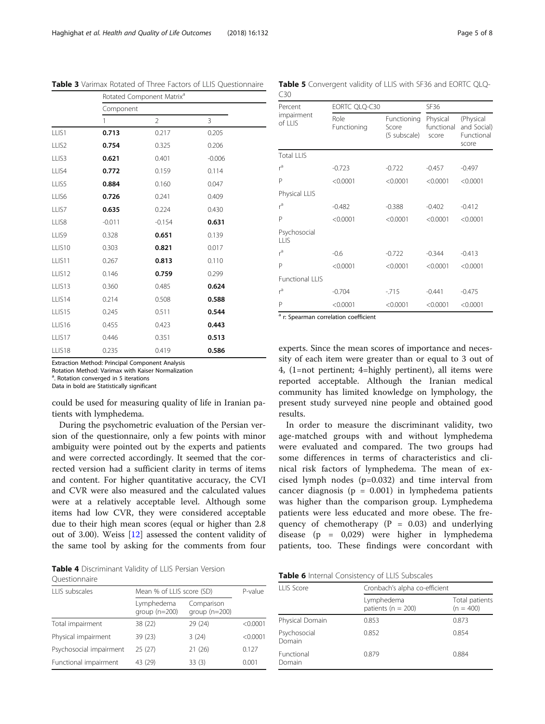Extraction Method: Principal Component Analysis

Rotation Method: Varimax with Kaiser Normalization

<sup>a</sup>. Rotation converged in 5 iterations Data in bold are Statistically significant

could be used for measuring quality of life in Iranian patients with lymphedema.

During the psychometric evaluation of the Persian version of the questionnaire, only a few points with minor ambiguity were pointed out by the experts and patients and were corrected accordingly. It seemed that the corrected version had a sufficient clarity in terms of items and content. For higher quantitative accuracy, the CVI and CVR were also measured and the calculated values were at a relatively acceptable level. Although some items had low CVR, they were considered acceptable due to their high mean scores (equal or higher than 2.8 out of 3.00). Weiss [\[12](#page-7-0)] assessed the content validity of the same tool by asking for the comments from four

Table 4 Discriminant Validity of LLIS Persian Version Questionnaire

| LLIS subscales          | Mean % of LLIS score (SD)     | P-value                       |          |
|-------------------------|-------------------------------|-------------------------------|----------|
|                         | Lymphedema<br>group $(n=200)$ | Comparison<br>group $(n=200)$ |          |
| Total impairment        | 38 (22)                       | 29 (24)                       | < 0.0001 |
| Physical impairment     | 39(23)                        | 3(24)                         | < 0.0001 |
| Psychosocial impairment | 25(27)                        | 21 (26)                       | 0.127    |
| Functional impairment   | 43 (29)                       | 33(3)                         | 0.001    |

|     | <b>Table 5</b> Convergent validity of LLIS with SF36 and EORTC QLQ- |  |  |  |  |
|-----|---------------------------------------------------------------------|--|--|--|--|
| C30 |                                                                     |  |  |  |  |

| Percent                | EORTC QLQ-C30       | SF36                                 |                                 |                                                 |
|------------------------|---------------------|--------------------------------------|---------------------------------|-------------------------------------------------|
| impairment<br>of LLIS  | Role<br>Functioning | Functioning<br>Score<br>(5 subscale) | Physical<br>functional<br>score | (Physical<br>and Social)<br>Functional<br>score |
| <b>Total LLIS</b>      |                     |                                      |                                 |                                                 |
| r <sup>a</sup>         | $-0.723$            | $-0.722$                             | $-0.457$                        | $-0.497$                                        |
| P                      | < 0.0001            | < 0.0001                             | < 0.0001                        | < 0.0001                                        |
| Physical LLIS          |                     |                                      |                                 |                                                 |
| r <sup>a</sup>         | $-0.482$            | $-0.388$                             | $-0.402$                        | $-0.412$                                        |
| P                      | < 0.0001            | < 0.0001                             | < 0.0001                        | < 0.0001                                        |
| Psychosocial<br>LLIS   |                     |                                      |                                 |                                                 |
| r <sup>a</sup>         | $-0.6$              | $-0.722$                             | $-0.344$                        | $-0.413$                                        |
| P                      | < 0.0001            | < 0.0001                             | < 0.0001                        | < 0.0001                                        |
| <b>Functional LLIS</b> |                     |                                      |                                 |                                                 |
| r <sup>a</sup>         | $-0.704$            | $-715$                               | $-0.441$                        | $-0.475$                                        |
| P                      | < 0.0001            | < 0.0001                             | < 0.0001                        | < 0.0001                                        |

r: Spearman correlation coefficient

experts. Since the mean scores of importance and necessity of each item were greater than or equal to 3 out of 4, (1=not pertinent; 4=highly pertinent), all items were reported acceptable. Although the Iranian medical community has limited knowledge on lymphology, the present study surveyed nine people and obtained good results.

In order to measure the discriminant validity, two age-matched groups with and without lymphedema were evaluated and compared. The two groups had some differences in terms of characteristics and clinical risk factors of lymphedema. The mean of excised lymph nodes (p=0.032) and time interval from cancer diagnosis ( $p = 0.001$ ) in lymphedema patients was higher than the comparison group. Lymphedema patients were less educated and more obese. The frequency of chemotherapy  $(P = 0.03)$  and underlying disease (p = 0,029) were higher in lymphedema patients, too. These findings were concordant with

| Table 6 Internal Consistency of LLIS Subscales |
|------------------------------------------------|
|------------------------------------------------|

| LLIS Score             | Cronbach's alpha co-efficient        |                               |  |
|------------------------|--------------------------------------|-------------------------------|--|
|                        | Lymphedema<br>patients ( $n = 200$ ) | Total patients<br>$(n = 400)$ |  |
| Physical Domain        | 0.853                                | 0.873                         |  |
| Psychosocial<br>Domain | 0.852                                | 0.854                         |  |
| Functional<br>Domain   | 0.879                                | 0.884                         |  |

<span id="page-4-0"></span>**Table 3** Varimax Rotated of Three Factors of LLIS Questionnaire

1 2 3

Rotated Component Matrix<sup>a</sup>

LLIS1 **0.713** 0.217 0.205 LLIS2 **0.754** 0.325 0.206 LLIS3 **0.621** 0.401 -0.006 LLIS4 **0.772** 0.159 0.114 LLIS5 **0.884** 0.160 0.047 LLIS6 **0.726** 0.241 0.409 LLIS7 **0.635** 0.224 0.430 LLIS8 -0.011 -0.154 **0.631** LLIS9 0.328 **0.651** 0.139 LLIS10 0.303 **0.821** 0.017 LLIS11 0.267 **0.813** 0.110 LLIS12 0.146 **0.759** 0.299 LLIS13 0.360 0.485 **0.624** LLIS14 0.214 0.508 **0.588** LLIS15 0.245 0.511 **0.544** LLIS16 0.455 0.423 **0.443** LLIS17 0.446 0.351 **0.513** LLIS18 0.235 0.419 **0.586** 

Component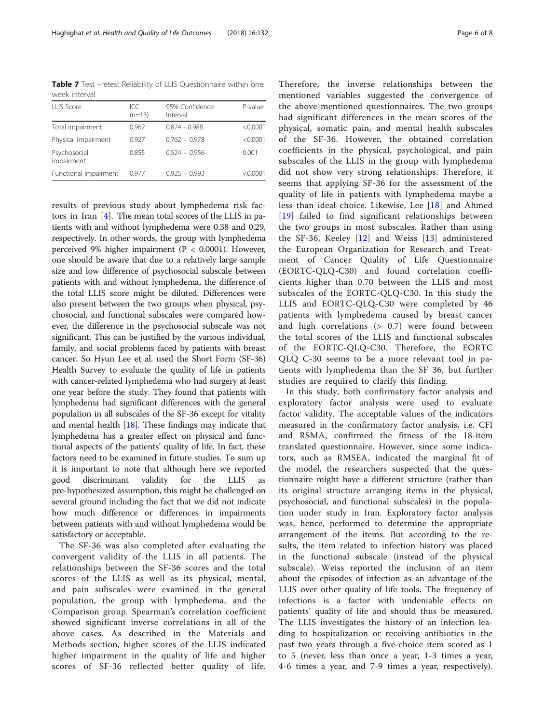<span id="page-5-0"></span>Table 7 Test -retest Reliability of LLIS Questionnaire within one week interval

| LLIS Score                 | ICC<br>$(n=13)$ | 95% Confidence<br>Interval | P-value  |
|----------------------------|-----------------|----------------------------|----------|
| Total impairment           | 0.962           | $0.874 - 0.988$            | < 0.0001 |
| Physical impairment        | 0.927           | $0.762 - 0.978$            | < 0.0001 |
| Psychosocial<br>impairment | 0.855           | $0.524 - 0.956$            | 0.001    |
| Functional impairment      | 0.977           | $0.925 - 0.993$            | < 0.0001 |

results of previous study about lymphedema risk factors in Iran  $[4]$  $[4]$ . The mean total scores of the LLIS in patients with and without lymphedema were 0.38 and 0.29, respectively. In other words, the group with lymphedema perceived 9% higher impairment (P < 0.0001). However, one should be aware that due to a relatively large sample size and low difference of psychosocial subscale between patients with and without lymphedema, the difference of the total LLIS score might be diluted. Differences were also present between the two groups when physical, psychosocial, and functional subscales were compared however, the difference in the psychosocial subscale was not significant. This can be justified by the various individual, family, and social problems faced by patients with breast cancer. So Hyun Lee et al. used the Short Form (SF-36) Health Survey to evaluate the quality of life in patients with cancer-related lymphedema who had surgery at least one year before the study. They found that patients with lymphedema had significant differences with the general population in all subscales of the SF-36 except for vitality and mental health  $[18]$  $[18]$  $[18]$ . These findings may indicate that lymphedema has a greater effect on physical and functional aspects of the patients' quality of life. In fact, these factors need to be examined in future studies. To sum up it is important to note that although here we reported good discriminant validity for the LLIS as pre-hypothesized assumption, this might be challenged on several ground including the fact that we did not indicate how much difference or differences in impairments between patients with and without lymphedema would be satisfactory or acceptable.

The SF-36 was also completed after evaluating the convergent validity of the LLIS in all patients. The relationships between the SF-36 scores and the total scores of the LLIS as well as its physical, mental, and pain subscales were examined in the general population, the group with lymphedema, and the Comparison group. Spearman's correlation coefficient showed significant inverse correlations in all of the above cases. As described in the Materials and Methods section, higher scores of the LLIS indicated higher impairment in the quality of life and higher scores of SF-36 reflected better quality of life.

Therefore, the inverse relationships between the mentioned variables suggested the convergence of the above-mentioned questionnaires. The two groups had significant differences in the mean scores of the physical, somatic pain, and mental health subscales of the SF-36. However, the obtained correlation coefficients in the physical, psychological, and pain subscales of the LLIS in the group with lymphedema did not show very strong relationships. Therefore, it seems that applying SF-36 for the assessment of the quality of life in patients with lymphedema maybe a less than ideal choice. Likewise, Lee [\[18\]](#page-7-0) and Ahmed [[19](#page-7-0)] failed to find significant relationships between the two groups in most subscales. Rather than using the SF-36, Keeley  $[12]$  $[12]$  and Weiss  $[13]$  $[13]$  $[13]$  administered the European Organization for Research and Treatment of Cancer Quality of Life Questionnaire (EORTC-QLQ-C30) and found correlation coefficients higher than 0.70 between the LLIS and most subscales of the EORTC-QLQ-C30. In this study the LLIS and EORTC-QLQ-C30 were completed by 46 patients with lymphedema caused by breast cancer and high correlations  $(> 0.7)$  were found between the total scores of the LLIS and functional subscales of the EORTC-QLQ-C30. Therefore, the EORTC QLQ C-30 seems to be a more relevant tool in patients with lymphedema than the SF 36, but further studies are required to clarify this finding.

In this study, both confirmatory factor analysis and exploratory factor analysis were used to evaluate factor validity. The acceptable values of the indicators measured in the confirmatory factor analysis, i.e. CFI and RSMA, confirmed the fitness of the 18-item translated questionnaire. However, since some indicators, such as RMSEA, indicated the marginal fit of the model, the researchers suspected that the questionnaire might have a different structure (rather than its original structure arranging items in the physical, psychosocial, and functional subscales) in the population under study in Iran. Exploratory factor analysis was, hence, performed to determine the appropriate arrangement of the items. But according to the results, the item related to infection history was placed in the functional subscale (instead of the physical subscale). Weiss reported the inclusion of an item about the episodes of infection as an advantage of the LLIS over other quality of life tools. The frequency of infections is a factor with undeniable effects on patients' quality of life and should thus be measured. The LLIS investigates the history of an infection leading to hospitalization or receiving antibiotics in the past two years through a five-choice item scored as 1 to 5 (never, less than once a year, 1-3 times a year, 4-6 times a year, and 7-9 times a year, respectively).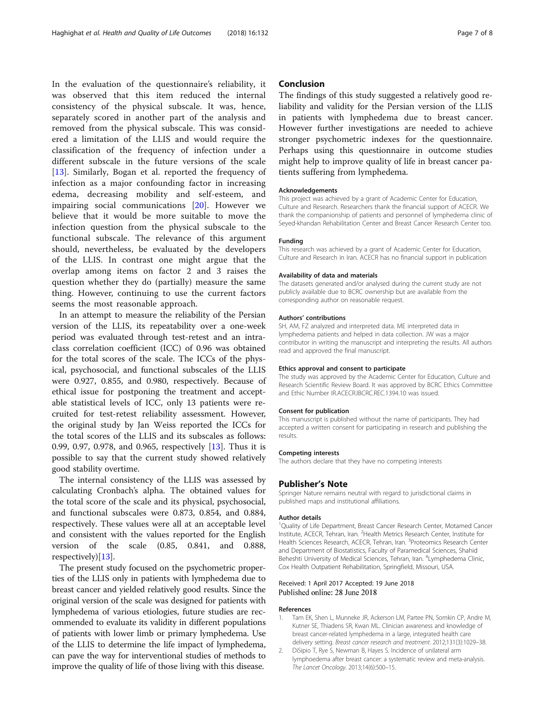<span id="page-6-0"></span>In the evaluation of the questionnaire's reliability, it was observed that this item reduced the internal consistency of the physical subscale. It was, hence, separately scored in another part of the analysis and removed from the physical subscale. This was considered a limitation of the LLIS and would require the classification of the frequency of infection under a different subscale in the future versions of the scale [[13\]](#page-7-0). Similarly, Bogan et al. reported the frequency of infection as a major confounding factor in increasing edema, decreasing mobility and self-esteem, and impairing social communications [[20\]](#page-7-0). However we believe that it would be more suitable to move the infection question from the physical subscale to the functional subscale. The relevance of this argument should, nevertheless, be evaluated by the developers of the LLIS. In contrast one might argue that the overlap among items on factor 2 and 3 raises the question whether they do (partially) measure the same thing. However, continuing to use the current factors seems the most reasonable approach.

In an attempt to measure the reliability of the Persian version of the LLIS, its repeatability over a one-week period was evaluated through test-retest and an intraclass correlation coefficient (ICC) of 0.96 was obtained for the total scores of the scale. The ICCs of the physical, psychosocial, and functional subscales of the LLIS were 0.927, 0.855, and 0.980, respectively. Because of ethical issue for postponing the treatment and acceptable statistical levels of ICC, only 13 patients were recruited for test-retest reliability assessment. However, the original study by Jan Weiss reported the ICCs for the total scores of the LLIS and its subscales as follows: 0.99, 0.97, 0.978, and 0.965, respectively [\[13\]](#page-7-0). Thus it is possible to say that the current study showed relatively good stability overtime.

The internal consistency of the LLIS was assessed by calculating Cronbach's alpha. The obtained values for the total score of the scale and its physical, psychosocial, and functional subscales were 0.873, 0.854, and 0.884, respectively. These values were all at an acceptable level and consistent with the values reported for the English version of the scale (0.85, 0.841, and 0.888, respectively)[[13](#page-7-0)].

The present study focused on the psychometric properties of the LLIS only in patients with lymphedema due to breast cancer and yielded relatively good results. Since the original version of the scale was designed for patients with lymphedema of various etiologies, future studies are recommended to evaluate its validity in different populations of patients with lower limb or primary lymphedema. Use of the LLIS to determine the life impact of lymphedema, can pave the way for interventional studies of methods to improve the quality of life of those living with this disease.

## Conclusion

The findings of this study suggested a relatively good reliability and validity for the Persian version of the LLIS in patients with lymphedema due to breast cancer. However further investigations are needed to achieve stronger psychometric indexes for the questionnaire. Perhaps using this questionnaire in outcome studies might help to improve quality of life in breast cancer patients suffering from lymphedema.

#### Acknowledgements

This project was achieved by a grant of Academic Center for Education, Culture and Research. Researchers thank the financial support of ACECR. We thank the companionship of patients and personnel of lymphedema clinic of Seyed-khandan Rehabilitation Center and Breast Cancer Research Center too.

#### Funding

This research was achieved by a grant of Academic Center for Education, Culture and Research in Iran. ACECR has no financial support in publication

#### Availability of data and materials

The datasets generated and/or analysed during the current study are not publicly available due to BCRC ownership but are available from the corresponding author on reasonable request.

#### Authors' contributions

SH, AM, FZ analyzed and interpreted data. ME interpreted data in lymphedema patients and helped in data collection. JW was a major contributor in writing the manuscript and interpreting the results. All authors read and approved the final manuscript.

#### Ethics approval and consent to participate

The study was approved by the Academic Center for Education, Culture and Research Scientific Review Board. It was approved by BCRC Ethics Committee and Ethic Number IR.ACECR.IBCRC.REC.1394.10 was issued.

## Consent for publication

This manuscript is published without the name of participants. They had accepted a written consent for participating in research and publishing the results.

#### Competing interests

The authors declare that they have no competing interests

#### Publisher's Note

Springer Nature remains neutral with regard to jurisdictional claims in published maps and institutional affiliations.

#### Author details

<sup>1</sup>Quality of Life Department, Breast Cancer Research Center, Motamed Cancer Institute, ACECR, Tehran, Iran. <sup>2</sup> Health Metrics Research Center, Institute for Health Sciences Research, ACECR, Tehran, Iran. <sup>3</sup>Proteomics Research Center and Department of Biostatistics, Faculty of Paramedical Sciences, Shahid Beheshti University of Medical Sciences, Tehran, Iran. <sup>4</sup>Lymphedema Clinic Cox Health Outpatient Rehabilitation, Springfield, Missouri, USA.

#### Received: 1 April 2017 Accepted: 19 June 2018 Published online: 28 June 2018

#### References

- 1. Tam EK, Shen L, Munneke JR, Ackerson LM, Partee PN, Somkin CP, Andre M, Kutner SE, Thiadens SR, Kwan ML. Clinician awareness and knowledge of breast cancer-related lymphedema in a large, integrated health care delivery setting. Breast cancer research and treatment. 2012;131(3):1029–38.
- 2. DiSipio T, Rye S, Newman B, Hayes S. Incidence of unilateral arm lymphoedema after breast cancer: a systematic review and meta-analysis. The Lancet Oncology. 2013;14(6):500–15.